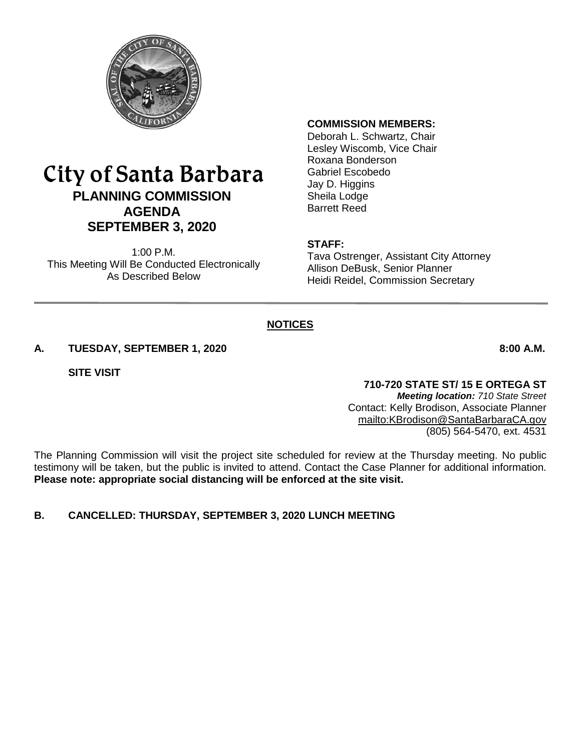

# City of Santa Barbara **PLANNING COMMISSION AGENDA SEPTEMBER 3, 2020**

1:00 P.M. This Meeting Will Be Conducted Electronically As Described Below

#### **COMMISSION MEMBERS:**

Deborah L. Schwartz, Chair Lesley Wiscomb, Vice Chair Roxana Bonderson Gabriel Escobedo Jay D. Higgins Sheila Lodge Barrett Reed

#### **STAFF:**

Tava Ostrenger, Assistant City Attorney Allison DeBusk, Senior Planner Heidi Reidel, Commission Secretary

### **NOTICES**

#### **A. TUESDAY, SEPTEMBER 1, 2020 8:00 A.M.**

**SITE VISIT**

### **710-720 STATE ST/ 15 E ORTEGA ST**

*Meeting location: 710 State Street* Contact: Kelly Brodison, Associate Planner <mailto:KBrodison@SantaBarbaraCA.gov> (805) 564-5470, ext. 4531

The Planning Commission will visit the project site scheduled for review at the Thursday meeting. No public testimony will be taken, but the public is invited to attend. Contact the Case Planner for additional information. **Please note: appropriate social distancing will be enforced at the site visit.**

### **B. CANCELLED: THURSDAY, SEPTEMBER 3, 2020 LUNCH MEETING**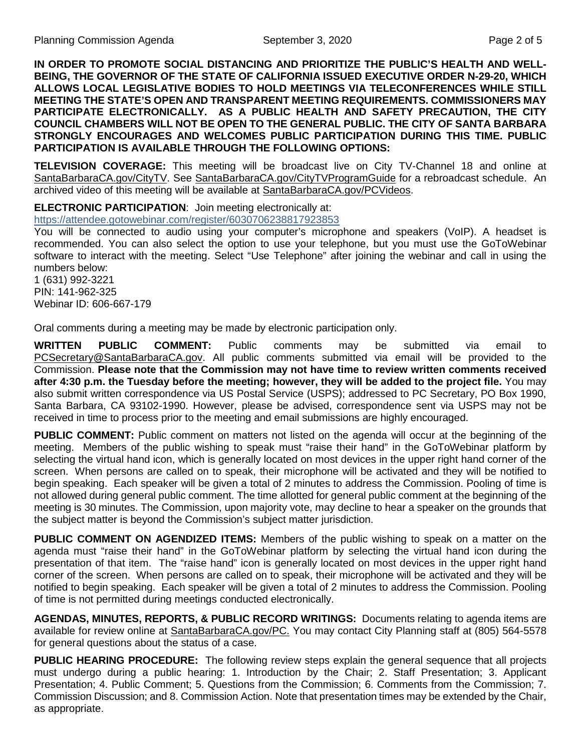**IN ORDER TO PROMOTE SOCIAL DISTANCING AND PRIORITIZE THE PUBLIC'S HEALTH AND WELL-BEING, THE GOVERNOR OF THE STATE OF CALIFORNIA ISSUED EXECUTIVE ORDER N-29-20, WHICH ALLOWS LOCAL LEGISLATIVE BODIES TO HOLD MEETINGS VIA TELECONFERENCES WHILE STILL MEETING THE STATE'S OPEN AND TRANSPARENT MEETING REQUIREMENTS. COMMISSIONERS MAY PARTICIPATE ELECTRONICALLY. AS A PUBLIC HEALTH AND SAFETY PRECAUTION, THE CITY COUNCIL CHAMBERS WILL NOT BE OPEN TO THE GENERAL PUBLIC. THE CITY OF SANTA BARBARA STRONGLY ENCOURAGES AND WELCOMES PUBLIC PARTICIPATION DURING THIS TIME. PUBLIC PARTICIPATION IS AVAILABLE THROUGH THE FOLLOWING OPTIONS:**

**TELEVISION COVERAGE:** This meeting will be broadcast live on City TV-Channel 18 and online at [SantaBarbaraCA.gov/CityTV.](http://www.santabarbaraca.gov/CityTV) See [SantaBarbaraCA.gov/CityTVProgramGuide](http://www.santabarbaraca.gov/CityTVProgramGuide) for a rebroadcast schedule. An archived video of this meeting will be available at [SantaBarbaraCA.gov/PCVideos.](http://www.santabarbaraca.gov/PCVideos)

#### **ELECTRONIC PARTICIPATION**: Join meeting electronically at:

<https://attendee.gotowebinar.com/register/6030706238817923853>

You will be connected to audio using your computer's microphone and speakers (VoIP). A headset is recommended. You can also select the option to use your telephone, but you must use the GoToWebinar software to interact with the meeting. Select "Use Telephone" after joining the webinar and call in using the numbers below:

1 (631) 992-3221 PIN: 141-962-325 Webinar ID: 606-667-179

Oral comments during a meeting may be made by electronic participation only.

**WRITTEN PUBLIC COMMENT:** Public comments may be submitted via email to [PCSecretary@SantaBarbaraCA.gov.](mailto:PCSecretary@SantaBarbaraCA.gov) All public comments submitted via email will be provided to the Commission. **Please note that the Commission may not have time to review written comments received after 4:30 p.m. the Tuesday before the meeting; however, they will be added to the project file.** You may also submit written correspondence via US Postal Service (USPS); addressed to PC Secretary, PO Box 1990, Santa Barbara, CA 93102-1990. However, please be advised, correspondence sent via USPS may not be received in time to process prior to the meeting and email submissions are highly encouraged.

**PUBLIC COMMENT:** Public comment on matters not listed on the agenda will occur at the beginning of the meeting. Members of the public wishing to speak must "raise their hand" in the GoToWebinar platform by selecting the virtual hand icon, which is generally located on most devices in the upper right hand corner of the screen. When persons are called on to speak, their microphone will be activated and they will be notified to begin speaking. Each speaker will be given a total of 2 minutes to address the Commission. Pooling of time is not allowed during general public comment. The time allotted for general public comment at the beginning of the meeting is 30 minutes. The Commission, upon majority vote, may decline to hear a speaker on the grounds that the subject matter is beyond the Commission's subject matter jurisdiction.

**PUBLIC COMMENT ON AGENDIZED ITEMS:** Members of the public wishing to speak on a matter on the agenda must "raise their hand" in the GoToWebinar platform by selecting the virtual hand icon during the presentation of that item. The "raise hand" icon is generally located on most devices in the upper right hand corner of the screen. When persons are called on to speak, their microphone will be activated and they will be notified to begin speaking. Each speaker will be given a total of 2 minutes to address the Commission. Pooling of time is not permitted during meetings conducted electronically.

**AGENDAS, MINUTES, REPORTS, & PUBLIC RECORD WRITINGS:** Documents relating to agenda items are available for review online at [SantaBarbaraCA.gov/PC.](http://www.santabarbaraca.gov/PC) You may contact City Planning staff at (805) 564-5578 for general questions about the status of a case.

**PUBLIC HEARING PROCEDURE:** The following review steps explain the general sequence that all projects must undergo during a public hearing: 1. Introduction by the Chair; 2. Staff Presentation; 3. Applicant Presentation; 4. Public Comment; 5. Questions from the Commission; 6. Comments from the Commission; 7. Commission Discussion; and 8. Commission Action. Note that presentation times may be extended by the Chair, as appropriate.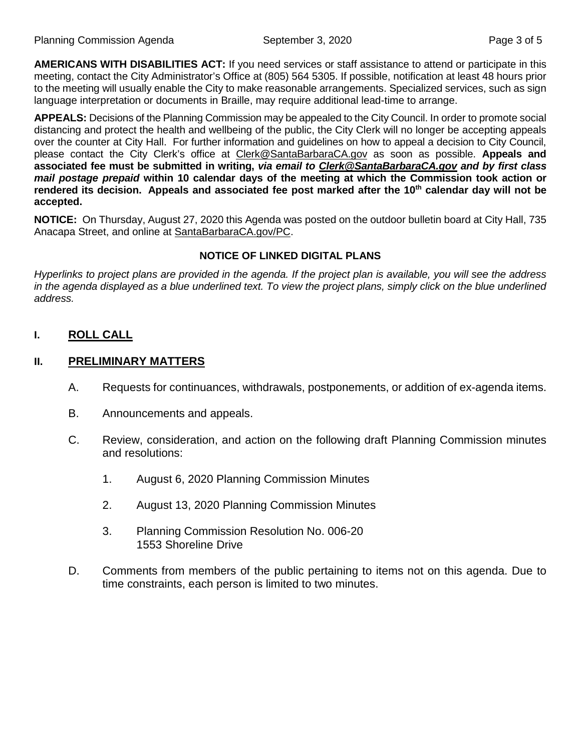**AMERICANS WITH DISABILITIES ACT:** If you need services or staff assistance to attend or participate in this meeting, contact the City Administrator's Office at (805) 564 5305. If possible, notification at least 48 hours prior to the meeting will usually enable the City to make reasonable arrangements. Specialized services, such as sign language interpretation or documents in Braille, may require additional lead-time to arrange.

**APPEALS:** Decisions of the Planning Commission may be appealed to the City Council. In order to promote social distancing and protect the health and wellbeing of the public, the City Clerk will no longer be accepting appeals over the counter at City Hall. For further information and guidelines on how to appeal a decision to City Council, please contact the City Clerk's office at [Clerk@SantaBarbaraCA.gov](mailto:Clerk@SantaBarbaraCA.gov) as soon as possible. **Appeals and associated fee must be submitted in writing,** *via email to [Clerk@SantaBarbaraCA.gov](mailto:Clerk@SantaBarbaraCA.gov) and by first class mail postage prepaid* **within 10 calendar days of the meeting at which the Commission took action or**  rendered its decision. Appeals and associated fee post marked after the 10<sup>th</sup> calendar day will not be **accepted.** 

**NOTICE:** On Thursday, August 27, 2020 this Agenda was posted on the outdoor bulletin board at City Hall, 735 Anacapa Street, and online at [SantaBarbaraCA.gov/PC.](https://www.santabarbaraca.gov/gov/brdcomm/nz/planning/agendas.asp)

### **NOTICE OF LINKED DIGITAL PLANS**

*Hyperlinks to project plans are provided in the agenda. If the project plan is available, you will see the address*  in the agenda displayed as a blue underlined text. To view the project plans, simply click on the blue underlined *address.*

**I. ROLL CALL**

### **II. PRELIMINARY MATTERS**

- A. Requests for continuances, withdrawals, postponements, or addition of ex-agenda items.
- B. Announcements and appeals.
- C. Review, consideration, and action on the following draft Planning Commission minutes and resolutions:
	- 1. August 6, 2020 Planning Commission Minutes
	- 2. August 13, 2020 Planning Commission Minutes
	- 3. Planning Commission Resolution No. 006-20 1553 Shoreline Drive
- D. Comments from members of the public pertaining to items not on this agenda. Due to time constraints, each person is limited to two minutes.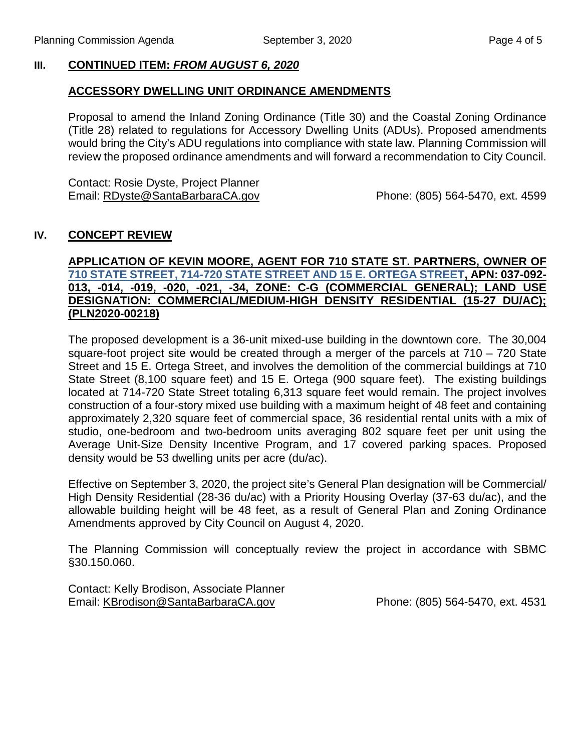### **III. CONTINUED ITEM:** *FROM AUGUST 6, 2020*

### **ACCESSORY DWELLING UNIT ORDINANCE AMENDMENTS**

Proposal to amend the Inland Zoning Ordinance (Title 30) and the Coastal Zoning Ordinance (Title 28) related to regulations for Accessory Dwelling Units (ADUs). Proposed amendments would bring the City's ADU regulations into compliance with state law. Planning Commission will review the proposed ordinance amendments and will forward a recommendation to City Council.

Contact: Rosie Dyste, Project Planner Email: [RDyste@SantaBarbaraCA.gov](mailto:RDyste@SantaBarbaraCA.gov) Phone: (805) 564-5470, ext. 4599

### **IV. CONCEPT REVIEW**

### **APPLICATION OF KEVIN MOORE, AGENT FOR 710 STATE ST. PARTNERS, OWNER OF [710 STATE STREET, 714-720 STATE STREET AND 15 E. ORTEGA STREET,](https://www.santabarbaraca.gov/SBdocuments/Advisory_Groups/Planning_Commission/Archive/2020_Archives/03_Architectural_Drawings/2020-09-03_September_3_2020_Item_IV_710_State_St_Site_Plans.pdf) APN: 037-092- 013, -014, -019, -020, -021, -34, ZONE: C-G (COMMERCIAL GENERAL); LAND USE DESIGNATION: COMMERCIAL/MEDIUM-HIGH DENSITY RESIDENTIAL (15-27 DU/AC); (PLN2020-00218)**

The proposed development is a 36-unit mixed-use building in the downtown core. The 30,004 square-foot project site would be created through a merger of the parcels at 710 – 720 State Street and 15 E. Ortega Street, and involves the demolition of the commercial buildings at 710 State Street (8,100 square feet) and 15 E. Ortega (900 square feet). The existing buildings located at 714-720 State Street totaling 6,313 square feet would remain. The project involves construction of a four-story mixed use building with a maximum height of 48 feet and containing approximately 2,320 square feet of commercial space, 36 residential rental units with a mix of studio, one-bedroom and two-bedroom units averaging 802 square feet per unit using the Average Unit-Size Density Incentive Program, and 17 covered parking spaces. Proposed density would be 53 dwelling units per acre (du/ac).

Effective on September 3, 2020, the project site's General Plan designation will be Commercial/ High Density Residential (28-36 du/ac) with a Priority Housing Overlay (37-63 du/ac), and the allowable building height will be 48 feet, as a result of General Plan and Zoning Ordinance Amendments approved by City Council on August 4, 2020.

The Planning Commission will conceptually review the project in accordance with SBMC §30.150.060.

Contact: Kelly Brodison, Associate Planner Email: [KBrodison@SantaBarbaraCA.gov](mailto:KBrodison@SantaBarbaraCA.gov) Phone: (805) 564-5470, ext. 4531